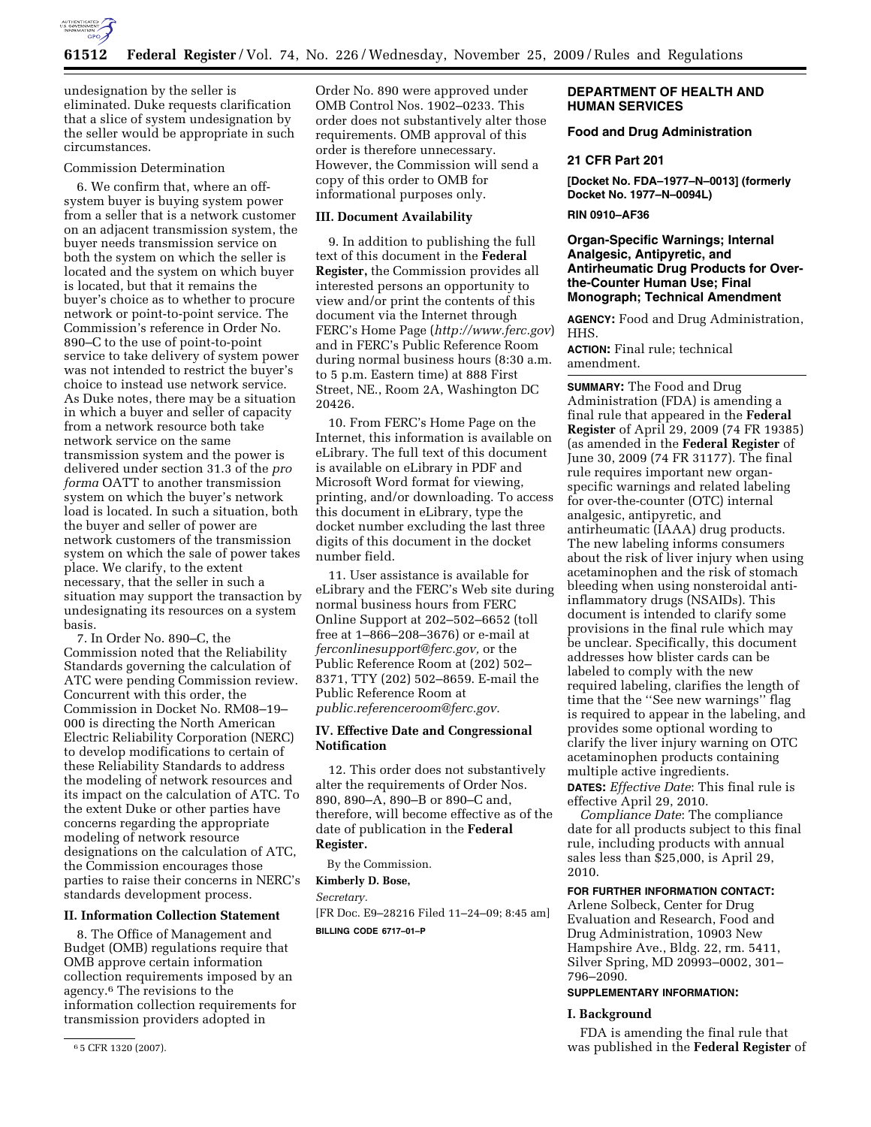

undesignation by the seller is eliminated. Duke requests clarification that a slice of system undesignation by the seller would be appropriate in such circumstances.

### Commission Determination

6. We confirm that, where an offsystem buyer is buying system power from a seller that is a network customer on an adjacent transmission system, the buyer needs transmission service on both the system on which the seller is located and the system on which buyer is located, but that it remains the buyer's choice as to whether to procure network or point-to-point service. The Commission's reference in Order No. 890–C to the use of point-to-point service to take delivery of system power was not intended to restrict the buyer's choice to instead use network service. As Duke notes, there may be a situation in which a buyer and seller of capacity from a network resource both take network service on the same transmission system and the power is delivered under section 31.3 of the *pro forma* OATT to another transmission system on which the buyer's network load is located. In such a situation, both the buyer and seller of power are network customers of the transmission system on which the sale of power takes place. We clarify, to the extent necessary, that the seller in such a situation may support the transaction by undesignating its resources on a system basis.

7. In Order No. 890–C, the Commission noted that the Reliability Standards governing the calculation of ATC were pending Commission review. Concurrent with this order, the Commission in Docket No. RM08–19– 000 is directing the North American Electric Reliability Corporation (NERC) to develop modifications to certain of these Reliability Standards to address the modeling of network resources and its impact on the calculation of ATC. To the extent Duke or other parties have concerns regarding the appropriate modeling of network resource designations on the calculation of ATC, the Commission encourages those parties to raise their concerns in NERC's standards development process.

# **II. Information Collection Statement**

8. The Office of Management and Budget (OMB) regulations require that OMB approve certain information collection requirements imposed by an agency.6 The revisions to the information collection requirements for transmission providers adopted in

Order No. 890 were approved under OMB Control Nos. 1902–0233. This order does not substantively alter those requirements. OMB approval of this order is therefore unnecessary. However, the Commission will send a copy of this order to OMB for informational purposes only.

### **III. Document Availability**

9. In addition to publishing the full text of this document in the **Federal Register,** the Commission provides all interested persons an opportunity to view and/or print the contents of this document via the Internet through FERC's Home Page (*http://www.ferc.gov*) and in FERC's Public Reference Room during normal business hours (8:30 a.m. to 5 p.m. Eastern time) at 888 First Street, NE., Room 2A, Washington DC 20426.

10. From FERC's Home Page on the Internet, this information is available on eLibrary. The full text of this document is available on eLibrary in PDF and Microsoft Word format for viewing, printing, and/or downloading. To access this document in eLibrary, type the docket number excluding the last three digits of this document in the docket number field.

11. User assistance is available for eLibrary and the FERC's Web site during normal business hours from FERC Online Support at 202–502–6652 (toll free at 1–866–208–3676) or e-mail at *ferconlinesupport@ferc.gov,* or the Public Reference Room at (202) 502– 8371, TTY (202) 502–8659. E-mail the Public Reference Room at *public.referenceroom@ferc.gov.* 

# **IV. Effective Date and Congressional Notification**

12. This order does not substantively alter the requirements of Order Nos. 890, 890–A, 890–B or 890–C and, therefore, will become effective as of the date of publication in the **Federal Register.** 

By the Commission.

# **Kimberly D. Bose,**

*Secretary.* 

[FR Doc. E9–28216 Filed 11–24–09; 8:45 am] **BILLING CODE 6717–01–P** 

# **DEPARTMENT OF HEALTH AND HUMAN SERVICES**

# **Food and Drug Administration**

#### **21 CFR Part 201**

**[Docket No. FDA–1977–N–0013] (formerly Docket No. 1977–N–0094L)** 

## **RIN 0910–AF36**

# **Organ-Specific Warnings; Internal Analgesic, Antipyretic, and Antirheumatic Drug Products for Overthe-Counter Human Use; Final Monograph; Technical Amendment**

**AGENCY:** Food and Drug Administration, HHS.

**ACTION:** Final rule; technical amendment.

**SUMMARY:** The Food and Drug Administration (FDA) is amending a final rule that appeared in the **Federal Register** of April 29, 2009 (74 FR 19385) (as amended in the **Federal Register** of June 30, 2009 (74 FR 31177). The final rule requires important new organspecific warnings and related labeling for over-the-counter (OTC) internal analgesic, antipyretic, and antirheumatic (IAAA) drug products. The new labeling informs consumers about the risk of liver injury when using acetaminophen and the risk of stomach bleeding when using nonsteroidal antiinflammatory drugs (NSAIDs). This document is intended to clarify some provisions in the final rule which may be unclear. Specifically, this document addresses how blister cards can be labeled to comply with the new required labeling, clarifies the length of time that the ''See new warnings'' flag is required to appear in the labeling, and provides some optional wording to clarify the liver injury warning on OTC acetaminophen products containing multiple active ingredients.

**DATES:** *Effective Date*: This final rule is effective April 29, 2010.

*Compliance Date*: The compliance date for all products subject to this final rule, including products with annual sales less than \$25,000, is April 29, 2010.

# **FOR FURTHER INFORMATION CONTACT:**

Arlene Solbeck, Center for Drug Evaluation and Research, Food and Drug Administration, 10903 New Hampshire Ave., Bldg. 22, rm. 5411, Silver Spring, MD 20993–0002, 301– 796–2090.

# **SUPPLEMENTARY INFORMATION:**

### **I. Background**

FDA is amending the final rule that was published in the **Federal Register** of

<sup>6</sup> 5 CFR 1320 (2007).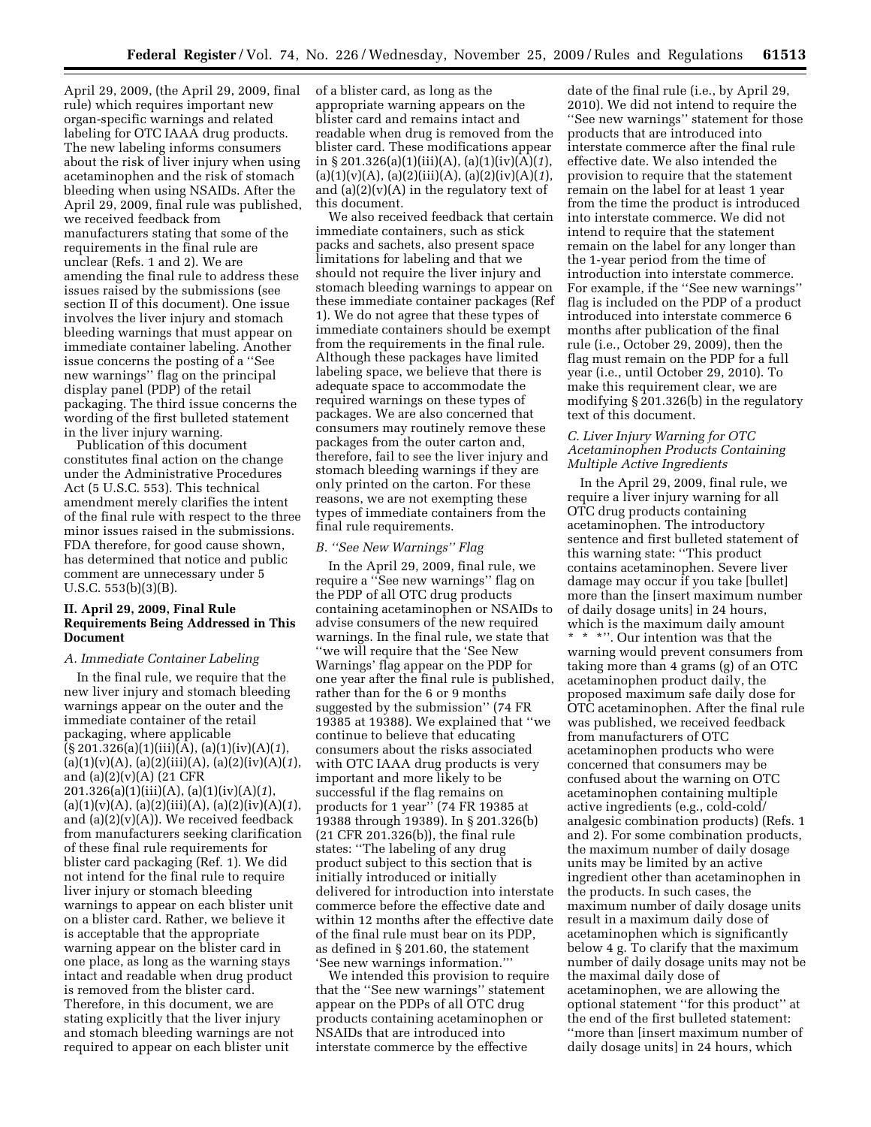April 29, 2009, (the April 29, 2009, final rule) which requires important new organ-specific warnings and related labeling for OTC IAAA drug products. The new labeling informs consumers about the risk of liver injury when using acetaminophen and the risk of stomach bleeding when using NSAIDs. After the April 29, 2009, final rule was published, we received feedback from manufacturers stating that some of the requirements in the final rule are unclear (Refs. 1 and 2). We are amending the final rule to address these issues raised by the submissions (see section II of this document). One issue involves the liver injury and stomach bleeding warnings that must appear on immediate container labeling. Another issue concerns the posting of a ''See new warnings'' flag on the principal display panel (PDP) of the retail packaging. The third issue concerns the wording of the first bulleted statement in the liver injury warning.

Publication of this document constitutes final action on the change under the Administrative Procedures Act (5 U.S.C. 553). This technical amendment merely clarifies the intent of the final rule with respect to the three minor issues raised in the submissions. FDA therefore, for good cause shown, has determined that notice and public comment are unnecessary under 5 U.S.C. 553(b)(3)(B).

# **II. April 29, 2009, Final Rule Requirements Being Addressed in This Document**

### *A. Immediate Container Labeling*

In the final rule, we require that the new liver injury and stomach bleeding warnings appear on the outer and the immediate container of the retail packaging, where applicable (§ 201.326(a)(1)(iii)(A), (a)(1)(iv)(A)(*1*), (a)(1)(v)(A), (a)(2)(iii)(A), (a)(2)(iv)(A)(*1*), and (a)(2)(v)(A) (21 CFR 201.326(a)(1)(iii)(A), (a)(1)(iv)(A)(*1*), (a)(1)(v)(A), (a)(2)(iii)(A), (a)(2)(iv)(A)(*1*), and (a)(2)(v)(A)). We received feedback from manufacturers seeking clarification of these final rule requirements for blister card packaging (Ref. 1). We did not intend for the final rule to require liver injury or stomach bleeding warnings to appear on each blister unit on a blister card. Rather, we believe it is acceptable that the appropriate warning appear on the blister card in one place, as long as the warning stays intact and readable when drug product is removed from the blister card. Therefore, in this document, we are stating explicitly that the liver injury and stomach bleeding warnings are not required to appear on each blister unit

of a blister card, as long as the appropriate warning appears on the blister card and remains intact and readable when drug is removed from the blister card. These modifications appear in § 201.326(a)(1)(iii)(A), (a)(1)(iv)(A)(*1*), (a)(1)(v)(A), (a)(2)(iii)(A), (a)(2)(iv)(A)(*1*), and  $(a)(2)(v)(A)$  in the regulatory text of this document.

We also received feedback that certain immediate containers, such as stick packs and sachets, also present space limitations for labeling and that we should not require the liver injury and stomach bleeding warnings to appear on these immediate container packages (Ref 1). We do not agree that these types of immediate containers should be exempt from the requirements in the final rule. Although these packages have limited labeling space, we believe that there is adequate space to accommodate the required warnings on these types of packages. We are also concerned that consumers may routinely remove these packages from the outer carton and, therefore, fail to see the liver injury and stomach bleeding warnings if they are only printed on the carton. For these reasons, we are not exempting these types of immediate containers from the final rule requirements.

### *B. ''See New Warnings'' Flag*

In the April 29, 2009, final rule, we require a ''See new warnings'' flag on the PDP of all OTC drug products containing acetaminophen or NSAIDs to advise consumers of the new required warnings. In the final rule, we state that ''we will require that the 'See New Warnings' flag appear on the PDP for one year after the final rule is published, rather than for the 6 or 9 months suggested by the submission'' (74 FR 19385 at 19388). We explained that ''we continue to believe that educating consumers about the risks associated with OTC IAAA drug products is very important and more likely to be successful if the flag remains on products for 1 year'' (74 FR 19385 at 19388 through 19389). In § 201.326(b) (21 CFR 201.326(b)), the final rule states: ''The labeling of any drug product subject to this section that is initially introduced or initially delivered for introduction into interstate commerce before the effective date and within 12 months after the effective date of the final rule must bear on its PDP, as defined in § 201.60, the statement 'See new warnings information.'''

We intended this provision to require that the ''See new warnings'' statement appear on the PDPs of all OTC drug products containing acetaminophen or NSAIDs that are introduced into interstate commerce by the effective

date of the final rule (i.e., by April 29, 2010). We did not intend to require the ''See new warnings'' statement for those products that are introduced into interstate commerce after the final rule effective date. We also intended the provision to require that the statement remain on the label for at least 1 year from the time the product is introduced into interstate commerce. We did not intend to require that the statement remain on the label for any longer than the 1-year period from the time of introduction into interstate commerce. For example, if the ''See new warnings'' flag is included on the PDP of a product introduced into interstate commerce 6 months after publication of the final rule (i.e., October 29, 2009), then the flag must remain on the PDP for a full year (i.e., until October 29, 2010). To make this requirement clear, we are modifying § 201.326(b) in the regulatory text of this document.

# *C. Liver Injury Warning for OTC Acetaminophen Products Containing Multiple Active Ingredients*

In the April 29, 2009, final rule, we require a liver injury warning for all OTC drug products containing acetaminophen. The introductory sentence and first bulleted statement of this warning state: ''This product contains acetaminophen. Severe liver damage may occur if you take [bullet] more than the [insert maximum number of daily dosage units] in 24 hours, which is the maximum daily amount \* \* \*''. Our intention was that the warning would prevent consumers from taking more than 4 grams (g) of an OTC acetaminophen product daily, the proposed maximum safe daily dose for OTC acetaminophen. After the final rule was published, we received feedback from manufacturers of OTC acetaminophen products who were concerned that consumers may be confused about the warning on OTC acetaminophen containing multiple active ingredients (e.g., cold-cold/ analgesic combination products) (Refs. 1 and 2). For some combination products, the maximum number of daily dosage units may be limited by an active ingredient other than acetaminophen in the products. In such cases, the maximum number of daily dosage units result in a maximum daily dose of acetaminophen which is significantly below 4 g. To clarify that the maximum number of daily dosage units may not be the maximal daily dose of acetaminophen, we are allowing the optional statement ''for this product'' at the end of the first bulleted statement: ''more than [insert maximum number of daily dosage units] in 24 hours, which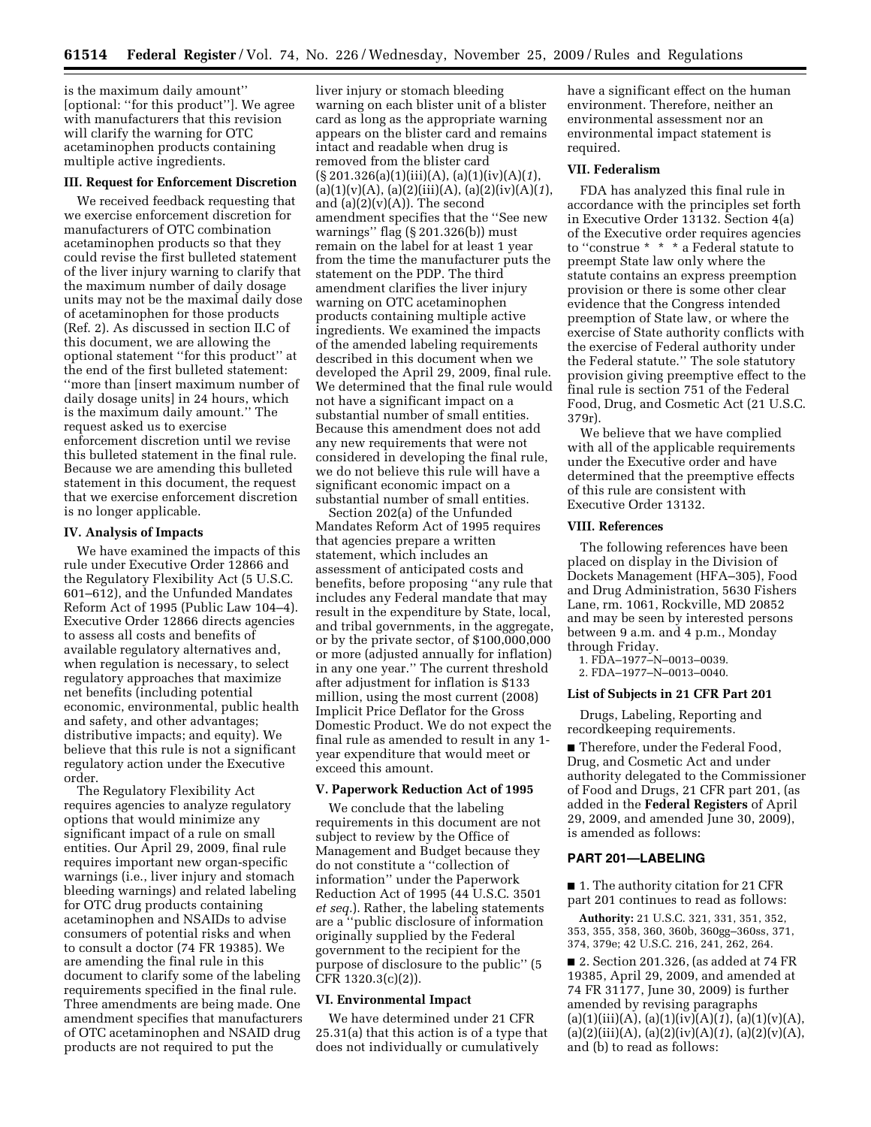is the maximum daily amount'' [optional: ''for this product'']. We agree with manufacturers that this revision will clarify the warning for OTC acetaminophen products containing multiple active ingredients.

### **III. Request for Enforcement Discretion**

We received feedback requesting that we exercise enforcement discretion for manufacturers of OTC combination acetaminophen products so that they could revise the first bulleted statement of the liver injury warning to clarify that the maximum number of daily dosage units may not be the maximal daily dose of acetaminophen for those products (Ref. 2). As discussed in section II.C of this document, we are allowing the optional statement ''for this product'' at the end of the first bulleted statement: ''more than [insert maximum number of daily dosage units] in 24 hours, which is the maximum daily amount.'' The request asked us to exercise enforcement discretion until we revise this bulleted statement in the final rule. Because we are amending this bulleted statement in this document, the request that we exercise enforcement discretion is no longer applicable.

### **IV. Analysis of Impacts**

We have examined the impacts of this rule under Executive Order 12866 and the Regulatory Flexibility Act (5 U.S.C. 601–612), and the Unfunded Mandates Reform Act of 1995 (Public Law 104–4). Executive Order 12866 directs agencies to assess all costs and benefits of available regulatory alternatives and, when regulation is necessary, to select regulatory approaches that maximize net benefits (including potential economic, environmental, public health and safety, and other advantages; distributive impacts; and equity). We believe that this rule is not a significant regulatory action under the Executive order.

The Regulatory Flexibility Act requires agencies to analyze regulatory options that would minimize any significant impact of a rule on small entities. Our April 29, 2009, final rule requires important new organ-specific warnings (i.e., liver injury and stomach bleeding warnings) and related labeling for OTC drug products containing acetaminophen and NSAIDs to advise consumers of potential risks and when to consult a doctor (74 FR 19385). We are amending the final rule in this document to clarify some of the labeling requirements specified in the final rule. Three amendments are being made. One amendment specifies that manufacturers of OTC acetaminophen and NSAID drug products are not required to put the

liver injury or stomach bleeding warning on each blister unit of a blister card as long as the appropriate warning appears on the blister card and remains intact and readable when drug is removed from the blister card (§ 201.326(a)(1)(iii)(A), (a)(1)(iv)(A)(*1*), (a)(1)(v)(A), (a)(2)(iii)(A), (a)(2)(iv)(A)(*1*), and  $(a)(2)(v)(A)$ . The second amendment specifies that the ''See new warnings'' flag (§ 201.326(b)) must remain on the label for at least 1 year from the time the manufacturer puts the statement on the PDP. The third amendment clarifies the liver injury warning on OTC acetaminophen products containing multiple active ingredients. We examined the impacts of the amended labeling requirements described in this document when we developed the April 29, 2009, final rule. We determined that the final rule would not have a significant impact on a substantial number of small entities. Because this amendment does not add any new requirements that were not considered in developing the final rule, we do not believe this rule will have a significant economic impact on a substantial number of small entities.

Section 202(a) of the Unfunded Mandates Reform Act of 1995 requires that agencies prepare a written statement, which includes an assessment of anticipated costs and benefits, before proposing ''any rule that includes any Federal mandate that may result in the expenditure by State, local, and tribal governments, in the aggregate, or by the private sector, of \$100,000,000 or more (adjusted annually for inflation) in any one year.'' The current threshold after adjustment for inflation is \$133 million, using the most current (2008) Implicit Price Deflator for the Gross Domestic Product. We do not expect the final rule as amended to result in any 1 year expenditure that would meet or exceed this amount.

# **V. Paperwork Reduction Act of 1995**

We conclude that the labeling requirements in this document are not subject to review by the Office of Management and Budget because they do not constitute a ''collection of information'' under the Paperwork Reduction Act of 1995 (44 U.S.C. 3501 *et seq.*). Rather, the labeling statements are a ''public disclosure of information originally supplied by the Federal government to the recipient for the purpose of disclosure to the public'' (5 CFR 1320.3(c)(2)).

# **VI. Environmental Impact**

We have determined under 21 CFR 25.31(a) that this action is of a type that does not individually or cumulatively

have a significant effect on the human environment. Therefore, neither an environmental assessment nor an environmental impact statement is required.

### **VII. Federalism**

FDA has analyzed this final rule in accordance with the principles set forth in Executive Order 13132. Section 4(a) of the Executive order requires agencies to ''construe \* \* \* a Federal statute to preempt State law only where the statute contains an express preemption provision or there is some other clear evidence that the Congress intended preemption of State law, or where the exercise of State authority conflicts with the exercise of Federal authority under the Federal statute.'' The sole statutory provision giving preemptive effect to the final rule is section 751 of the Federal Food, Drug, and Cosmetic Act (21 U.S.C. 379r).

We believe that we have complied with all of the applicable requirements under the Executive order and have determined that the preemptive effects of this rule are consistent with Executive Order 13132.

### **VIII. References**

The following references have been placed on display in the Division of Dockets Management (HFA–305), Food and Drug Administration, 5630 Fishers Lane, rm. 1061, Rockville, MD 20852 and may be seen by interested persons between 9 a.m. and 4 p.m., Monday through Friday.

- 1. FDA–1977–N–0013–0039.
- 2. FDA–1977–N–0013–0040.

### **List of Subjects in 21 CFR Part 201**

Drugs, Labeling, Reporting and recordkeeping requirements.

■ Therefore, under the Federal Food, Drug, and Cosmetic Act and under authority delegated to the Commissioner of Food and Drugs, 21 CFR part 201, (as added in the **Federal Registers** of April 29, 2009, and amended June 30, 2009), is amended as follows:

### **PART 201—LABELING**

■ 1. The authority citation for 21 CFR part 201 continues to read as follows:

**Authority:** 21 U.S.C. 321, 331, 351, 352, 353, 355, 358, 360, 360b, 360gg–360ss, 371, 374, 379e; 42 U.S.C. 216, 241, 262, 264.

■ 2. Section 201.326, (as added at 74 FR 19385, April 29, 2009, and amended at 74 FR 31177, June 30, 2009) is further amended by revising paragraphs  $(a)(1)(iii)(A), (a)(1)(iv)(A)(I), (a)(1)(v)(A),$ (a)(2)(iii)(A), (a)(2)(iv)(A)(*1*), (a)(2)(v)(A), and (b) to read as follows: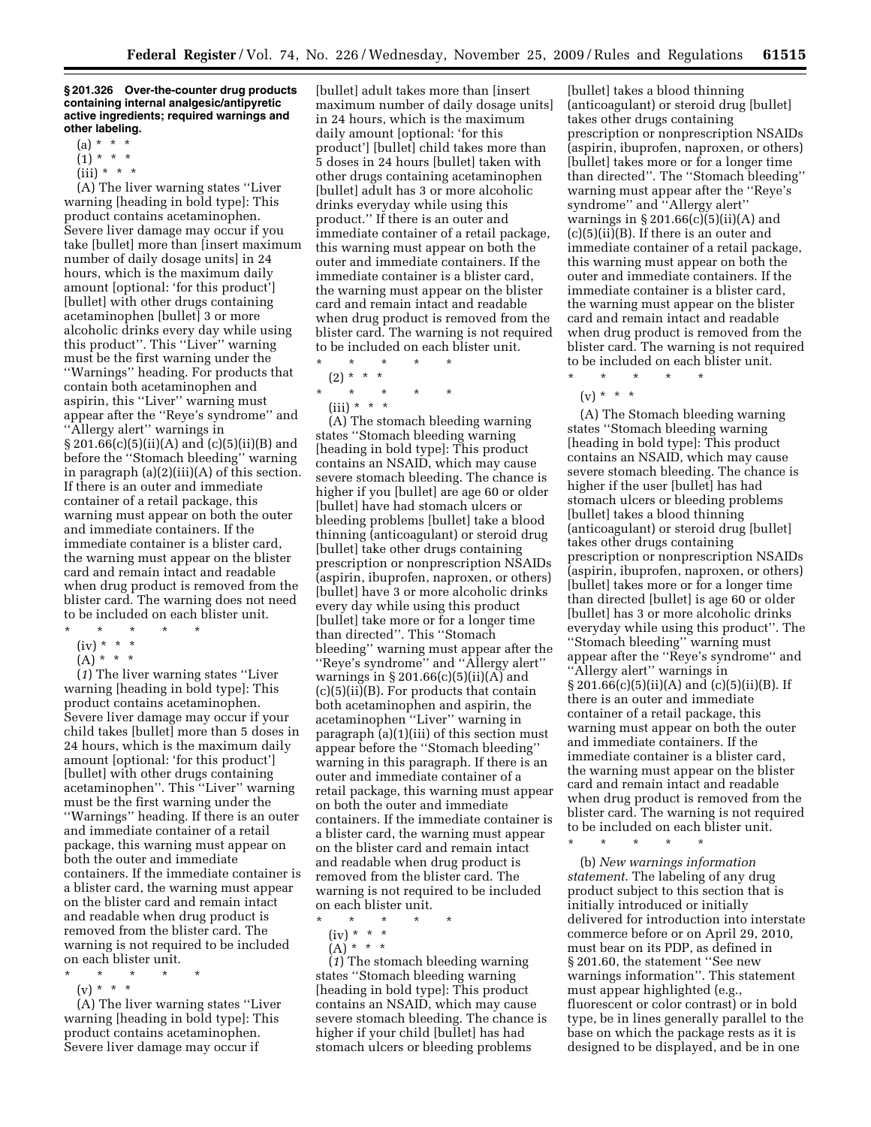#### **§ 201.326 Over-the-counter drug products containing internal analgesic/antipyretic active ingredients; required warnings and other labeling.**

- $(a) * * * *$
- $(1) * * * *$
- $(iii) * * * *$

(A) The liver warning states ''Liver warning [heading in bold type]: This product contains acetaminophen. Severe liver damage may occur if you take [bullet] more than [insert maximum number of daily dosage units] in 24 hours, which is the maximum daily amount [optional: 'for this product'] [bullet] with other drugs containing acetaminophen [bullet] 3 or more alcoholic drinks every day while using this product''. This ''Liver'' warning must be the first warning under the ''Warnings'' heading. For products that contain both acetaminophen and aspirin, this ''Liver'' warning must appear after the ''Reye's syndrome'' and ''Allergy alert'' warnings in § 201.66(c)(5)(ii)(A) and (c)(5)(ii)(B) and before the ''Stomach bleeding'' warning in paragraph (a)(2)(iii)(A) of this section. If there is an outer and immediate container of a retail package, this warning must appear on both the outer and immediate containers. If the immediate container is a blister card, the warning must appear on the blister card and remain intact and readable when drug product is removed from the blister card. The warning does not need to be included on each blister unit.

- \* \* \* \* \*
- $(iv) * * * *$
- $(A) * * * *$

(*1*) The liver warning states ''Liver warning [heading in bold type]: This product contains acetaminophen. Severe liver damage may occur if your child takes [bullet] more than 5 doses in 24 hours, which is the maximum daily amount [optional: 'for this product'] [bullet] with other drugs containing acetaminophen''. This ''Liver'' warning must be the first warning under the ''Warnings'' heading. If there is an outer and immediate container of a retail package, this warning must appear on both the outer and immediate containers. If the immediate container is a blister card, the warning must appear on the blister card and remain intact and readable when drug product is removed from the blister card. The warning is not required to be included on each blister unit.

- \* \* \* \* \*
	- $(v) * * * *$

(A) The liver warning states ''Liver warning [heading in bold type]: This product contains acetaminophen. Severe liver damage may occur if

[bullet] adult takes more than [insert maximum number of daily dosage units] in 24 hours, which is the maximum daily amount [optional: 'for this product'] [bullet] child takes more than 5 doses in 24 hours [bullet] taken with other drugs containing acetaminophen [bullet] adult has 3 or more alcoholic drinks everyday while using this product.'' If there is an outer and immediate container of a retail package, this warning must appear on both the outer and immediate containers. If the immediate container is a blister card, the warning must appear on the blister card and remain intact and readable when drug product is removed from the blister card. The warning is not required to be included on each blister unit.

- \* \* \* \* \* (2) \* \* \* \* \* \* \* \*
	- (iii) \* \* \*

(A) The stomach bleeding warning states ''Stomach bleeding warning [heading in bold type]: This product contains an NSAID, which may cause severe stomach bleeding. The chance is higher if you [bullet] are age 60 or older [bullet] have had stomach ulcers or bleeding problems [bullet] take a blood thinning (anticoagulant) or steroid drug [bullet] take other drugs containing prescription or nonprescription NSAIDs (aspirin, ibuprofen, naproxen, or others) [bullet] have 3 or more alcoholic drinks every day while using this product [bullet] take more or for a longer time than directed''. This ''Stomach bleeding'' warning must appear after the ''Reye's syndrome'' and ''Allergy alert'' warnings in  $\S 201.66(c)(5)(ii)(A)$  and (c)(5)(ii)(B). For products that contain both acetaminophen and aspirin, the acetaminophen ''Liver'' warning in paragraph (a)(1)(iii) of this section must appear before the ''Stomach bleeding'' warning in this paragraph. If there is an outer and immediate container of a retail package, this warning must appear on both the outer and immediate containers. If the immediate container is a blister card, the warning must appear on the blister card and remain intact and readable when drug product is removed from the blister card. The warning is not required to be included on each blister unit.

\* \* \* \* \* (iv) \* \* \*  $(A) * * * *$ 

(*1*) The stomach bleeding warning states ''Stomach bleeding warning [heading in bold type]: This product contains an NSAID, which may cause severe stomach bleeding. The chance is higher if your child [bullet] has had stomach ulcers or bleeding problems

[bullet] takes a blood thinning (anticoagulant) or steroid drug [bullet] takes other drugs containing prescription or nonprescription NSAIDs (aspirin, ibuprofen, naproxen, or others) [bullet] takes more or for a longer time than directed''. The ''Stomach bleeding'' warning must appear after the ''Reye's syndrome'' and ''Allergy alert'' warnings in  $\S 201.66(c)(5)(ii)(A)$  and  $(c)(5)(ii)(B)$ . If there is an outer and immediate container of a retail package, this warning must appear on both the outer and immediate containers. If the immediate container is a blister card, the warning must appear on the blister card and remain intact and readable when drug product is removed from the blister card. The warning is not required to be included on each blister unit. \* \* \* \* \*

 $(v) * * * *$ 

(A) The Stomach bleeding warning states ''Stomach bleeding warning [heading in bold type]: This product contains an NSAID, which may cause severe stomach bleeding. The chance is higher if the user [bullet] has had stomach ulcers or bleeding problems [bullet] takes a blood thinning (anticoagulant) or steroid drug [bullet] takes other drugs containing prescription or nonprescription NSAIDs (aspirin, ibuprofen, naproxen, or others) [bullet] takes more or for a longer time than directed [bullet] is age 60 or older [bullet] has 3 or more alcoholic drinks everyday while using this product''. The ''Stomach bleeding'' warning must appear after the ''Reye's syndrome'' and ''Allergy alert'' warnings in  $\S 201.66(c)(5)(ii)(A)$  and  $(c)(5)(ii)(B)$ . If there is an outer and immediate container of a retail package, this warning must appear on both the outer and immediate containers. If the immediate container is a blister card, the warning must appear on the blister card and remain intact and readable when drug product is removed from the blister card. The warning is not required to be included on each blister unit.

\* \* \* \* \*

(b) *New warnings information statement*. The labeling of any drug product subject to this section that is initially introduced or initially delivered for introduction into interstate commerce before or on April 29, 2010, must bear on its PDP, as defined in § 201.60, the statement ''See new warnings information''. This statement must appear highlighted (e.g., fluorescent or color contrast) or in bold type, be in lines generally parallel to the base on which the package rests as it is designed to be displayed, and be in one